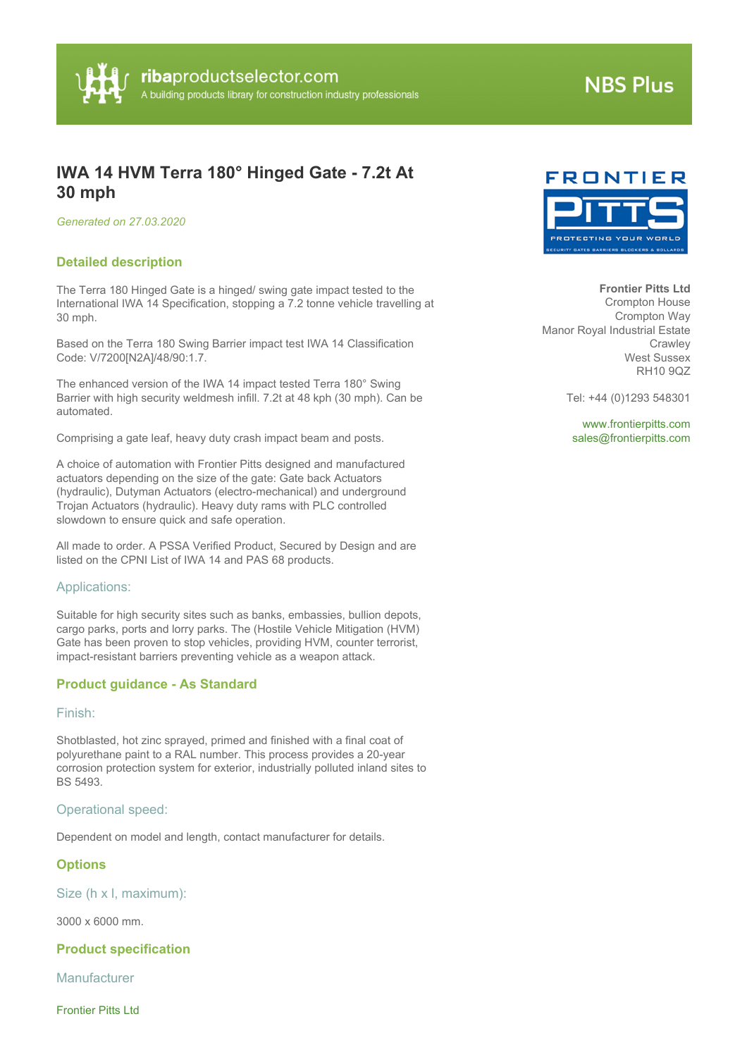

# **NBS Plus**

# **IWA 14 HVM Terra 180° Hinged Gate - 7.2t At 30 mph**

*Generated on 27.03.2020*

### **Detailed description**

The Terra 180 Hinged Gate is a hinged/ swing gate impact tested to the International IWA 14 Specification, stopping a 7.2 tonne vehicle travelling at 30 mph.

Based on the Terra 180 Swing Barrier impact test IWA 14 Classification Code: V/7200[N2A]/48/90:1.7.

The enhanced version of the IWA 14 impact tested Terra 180° Swing Barrier with high security weldmesh infill. 7.2t at 48 kph (30 mph). Can be automated.

Comprising a gate leaf, heavy duty crash impact beam and posts.

A choice of automation with Frontier Pitts designed and manufactured actuators depending on the size of the gate: Gate back Actuators (hydraulic), Dutyman Actuators (electro-mechanical) and underground Trojan Actuators (hydraulic). Heavy duty rams with PLC controlled slowdown to ensure quick and safe operation.

All made to order. A PSSA Verified Product, Secured by Design and are listed on the CPNI List of IWA 14 and PAS 68 products.

#### Applications:

Suitable for high security sites such as banks, embassies, bullion depots, cargo parks, ports and lorry parks. The (Hostile Vehicle Mitigation (HVM) Gate has been proven to stop vehicles, providing HVM, counter terrorist, impact-resistant barriers preventing vehicle as a weapon attack.

### **Product guidance - As Standard**

Finish:

Shotblasted, hot zinc sprayed, primed and finished with a final coat of polyurethane paint to a RAL number. This process provides a 20-year corrosion protection system for exterior, industrially polluted inland sites to BS 5493.

#### Operational speed:

Dependent on model and length, contact manufacturer for details.

#### **Options**

Size (h x l, maximum):

3000 x 6000 mm.

**Product specification**

**Manufacturer** 

Frontier Pitts Ltd



**Frontier Pitts Ltd** Crompton House

Crompton Way Manor Royal Industrial Estate **Crawley** West Sussex RH10 9QZ

Tel: +44 (0)1293 548301

<www.frontierpitts.com> [sales@frontierpitts.com](mailto:sales@frontierpitts.com?subject=IWA 14 HVM Terra 180� Hinged Gate - 7.2t At 30 mph)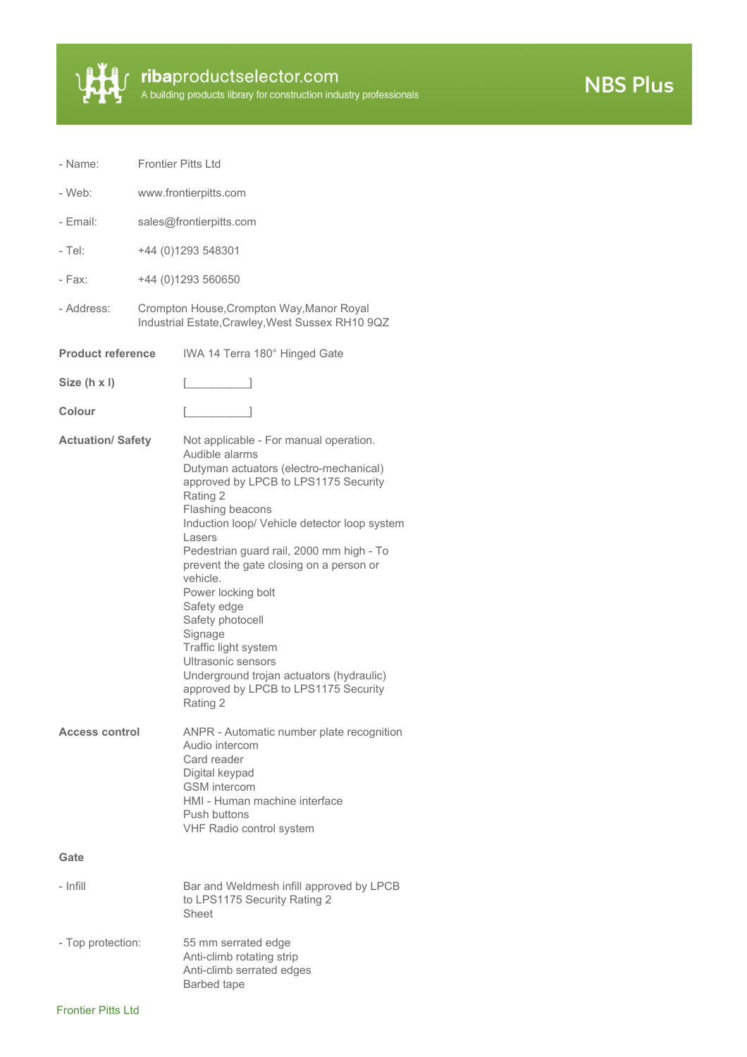

ribaproductselector.com<br>A building products library for construction industry professionals

**NBS Plus** 

| - Name:                  | <b>Frontier Pitts Ltd</b> |                                                                                                                                                                                                                                                                                                                                                                                                                                                                                                                                                           |
|--------------------------|---------------------------|-----------------------------------------------------------------------------------------------------------------------------------------------------------------------------------------------------------------------------------------------------------------------------------------------------------------------------------------------------------------------------------------------------------------------------------------------------------------------------------------------------------------------------------------------------------|
| - Web:                   |                           | www.frontierpitts.com                                                                                                                                                                                                                                                                                                                                                                                                                                                                                                                                     |
| - Email:                 | sales@frontierpitts.com   |                                                                                                                                                                                                                                                                                                                                                                                                                                                                                                                                                           |
| - Tel:                   | +44 (0)1293 548301        |                                                                                                                                                                                                                                                                                                                                                                                                                                                                                                                                                           |
| - Fах:                   | +44 (0)1293 560650        |                                                                                                                                                                                                                                                                                                                                                                                                                                                                                                                                                           |
| - Address:               |                           | Crompton House, Crompton Way, Manor Royal<br>Industrial Estate, Crawley, West Sussex RH10 9QZ                                                                                                                                                                                                                                                                                                                                                                                                                                                             |
| <b>Product reference</b> |                           | IWA 14 Terra 180° Hinged Gate                                                                                                                                                                                                                                                                                                                                                                                                                                                                                                                             |
| Size (h x I)             |                           |                                                                                                                                                                                                                                                                                                                                                                                                                                                                                                                                                           |
| Colour                   |                           |                                                                                                                                                                                                                                                                                                                                                                                                                                                                                                                                                           |
| <b>Actuation/ Safety</b> |                           | Not applicable - For manual operation.<br>Audible alarms<br>Dutyman actuators (electro-mechanical)<br>approved by LPCB to LPS1175 Security<br>Rating 2<br>Flashing beacons<br>Induction loop/ Vehicle detector loop system<br>Lasers<br>Pedestrian guard rail, 2000 mm high - To<br>prevent the gate closing on a person or<br>vehicle.<br>Power locking bolt<br>Safety edge<br>Safety photocell<br>Signage<br>Traffic light system<br>Ultrasonic sensors<br>Underground trojan actuators (hydraulic)<br>approved by LPCB to LPS1175 Security<br>Rating 2 |
| <b>Access control</b>    |                           | ANPR - Automatic number plate recognition<br>Audio intercom<br>Card reader<br>Digital keypad<br><b>GSM</b> intercom<br>HMI - Human machine interface<br>Push buttons<br>VHF Radio control system                                                                                                                                                                                                                                                                                                                                                          |
| Gate                     |                           |                                                                                                                                                                                                                                                                                                                                                                                                                                                                                                                                                           |
| - Infill                 |                           | Bar and Weldmesh infill approved by LPCB<br>to LPS1175 Security Rating 2<br>Sheet                                                                                                                                                                                                                                                                                                                                                                                                                                                                         |
| - Top protection:        |                           | 55 mm serrated edge<br>Anti-climb rotating strip<br>Anti-climb serrated edges<br>Barbed tape                                                                                                                                                                                                                                                                                                                                                                                                                                                              |

# Frontier Pitts Ltd